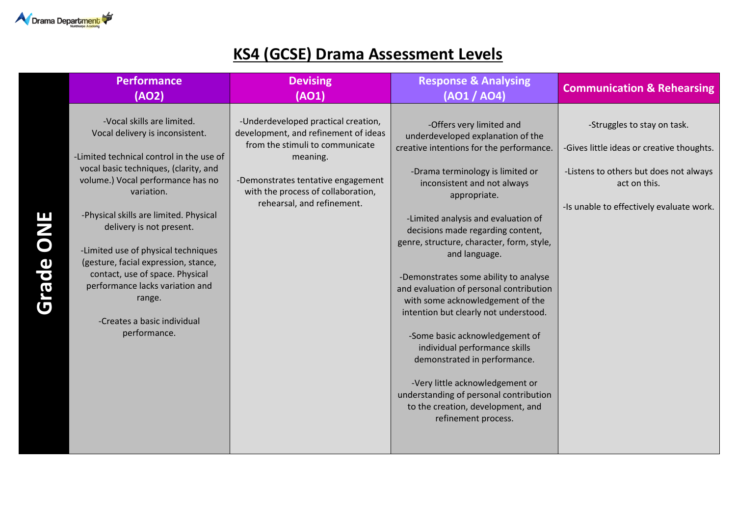

## **KS4 (GCSE) Drama Assessment Levels**

|                  | <b>Performance</b><br>(AO2)                                                                                                                                                                                                                                                                                                                                                                                                                                                               | <b>Devising</b><br>(AO1)                                                                                                                                                                                                             | <b>Response &amp; Analysing</b><br>(AO1 / AO4)                                                                                                                                                                                                                                                                                                                                                                                                                                                                                                                                                                                                                                                                                                      | <b>Communication &amp; Rehearsing</b>                                                                                                                                          |
|------------------|-------------------------------------------------------------------------------------------------------------------------------------------------------------------------------------------------------------------------------------------------------------------------------------------------------------------------------------------------------------------------------------------------------------------------------------------------------------------------------------------|--------------------------------------------------------------------------------------------------------------------------------------------------------------------------------------------------------------------------------------|-----------------------------------------------------------------------------------------------------------------------------------------------------------------------------------------------------------------------------------------------------------------------------------------------------------------------------------------------------------------------------------------------------------------------------------------------------------------------------------------------------------------------------------------------------------------------------------------------------------------------------------------------------------------------------------------------------------------------------------------------------|--------------------------------------------------------------------------------------------------------------------------------------------------------------------------------|
| <b>Grade ONE</b> | -Vocal skills are limited.<br>Vocal delivery is inconsistent.<br>-Limited technical control in the use of<br>vocal basic techniques, (clarity, and<br>volume.) Vocal performance has no<br>variation.<br>-Physical skills are limited. Physical<br>delivery is not present.<br>-Limited use of physical techniques<br>(gesture, facial expression, stance,<br>contact, use of space. Physical<br>performance lacks variation and<br>range.<br>-Creates a basic individual<br>performance. | -Underdeveloped practical creation,<br>development, and refinement of ideas<br>from the stimuli to communicate<br>meaning.<br>-Demonstrates tentative engagement<br>with the process of collaboration,<br>rehearsal, and refinement. | -Offers very limited and<br>underdeveloped explanation of the<br>creative intentions for the performance.<br>-Drama terminology is limited or<br>inconsistent and not always<br>appropriate.<br>-Limited analysis and evaluation of<br>decisions made regarding content,<br>genre, structure, character, form, style,<br>and language.<br>-Demonstrates some ability to analyse<br>and evaluation of personal contribution<br>with some acknowledgement of the<br>intention but clearly not understood.<br>-Some basic acknowledgement of<br>individual performance skills<br>demonstrated in performance.<br>-Very little acknowledgement or<br>understanding of personal contribution<br>to the creation, development, and<br>refinement process. | -Struggles to stay on task.<br>-Gives little ideas or creative thoughts.<br>-Listens to others but does not always<br>act on this.<br>-Is unable to effectively evaluate work. |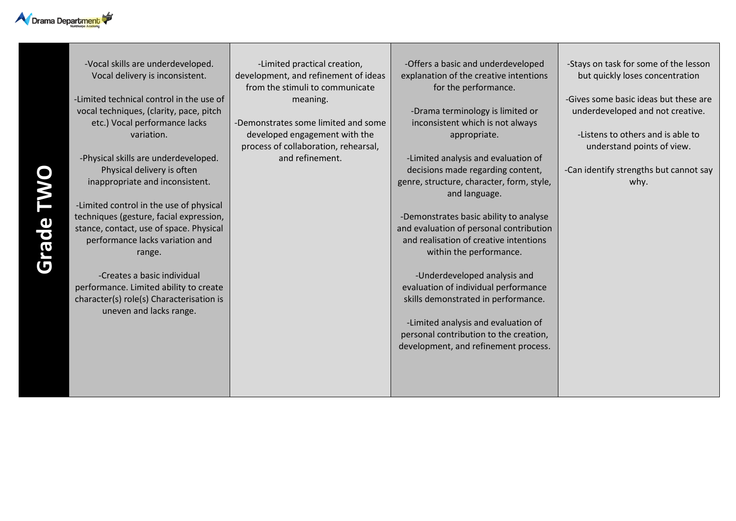

**Grade TWO**

-Vocal skills are underdeveloped. Vocal delivery is inconsistent.

-Limited technical control in the use of vocal techniques, (clarity, pace, pitch etc.) Vocal performance lacks variation.

-Physical skills are underdeveloped. Physical delivery is often inappropriate and inconsistent.

-Limited control in the use of physical techniques (gesture, facial expression, stance, contact, use of space. Physical performance lacks variation and range.

-Creates a basic individual performance. Limited ability to create character(s) role(s) Characterisation is uneven and lacks range.

-Limited practical creation, development, and refinement of ideas from the stimuli to communicate meaning.

-Demonstrates some limited and some developed engagement with the process of collaboration, rehearsal, and refinement.

-Offers a basic and underdeveloped explanation of the creative intentions for the performance.

-Drama terminology is limited or inconsistent which is not always appropriate.

-Limited analysis and evaluation of decisions made regarding content, genre, structure, character, form, style, and language.

-Demonstrates basic ability to analyse and evaluation of personal contribution and realisation of creative intentions within the performance.

-Underdeveloped analysis and evaluation of individual performance skills demonstrated in performance.

-Limited analysis and evaluation of personal contribution to the creation, development, and refinement process. -Stays on task for some of the lesson but quickly loses concentration

-Gives some basic ideas but these are underdeveloped and not creative.

-Listens to others and is able to understand points of view.

-Can identify strengths but cannot say why.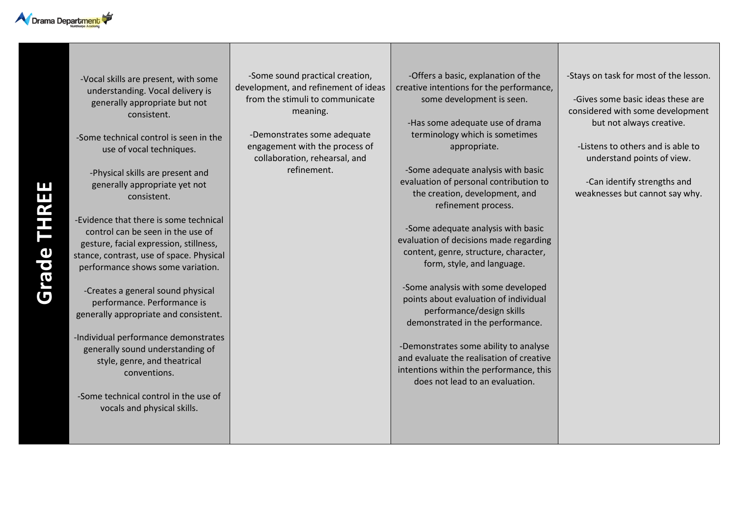

-Vocal skills are present, with some understanding. Vocal delivery is generally appropriate but not consistent.

-Some technical control is seen in the use of vocal techniques.

-Physical skills are present and generally appropriate yet not consistent.

-Evidence that there is some technical control can be seen in the use of gesture, facial expression, stillness, stance, contrast, use of space. Physical performance shows some variation.

-Creates a general sound physical performance. Performance is generally appropriate and consistent.

-Individual performance demonstrates generally sound understanding of style, genre, and theatrical conventions.

-Some technical control in the use of vocals and physical skills.

-Some sound practical creation, development, and refinement of ideas from the stimuli to communicate meaning.

-Demonstrates some adequate engagement with the process of collaboration, rehearsal, and refinement.

-Offers a basic, explanation of the creative intentions for the performance, some development is seen.

-Has some adequate use of drama terminology which is sometimes appropriate.

-Some adequate analysis with basic evaluation of personal contribution to the creation, development, and refinement process.

-Some adequate analysis with basic evaluation of decisions made regarding content, genre, structure, character, form, style, and language.

-Some analysis with some developed points about evaluation of individual performance/design skills demonstrated in the performance.

-Demonstrates some ability to analyse and evaluate the realisation of creative intentions within the performance, this does not lead to an evaluation.

-Stays on task for most of the lesson.

-Gives some basic ideas these are considered with some development but not always creative.

-Listens to others and is able to understand points of view.

-Can identify strengths and weaknesses but cannot say why.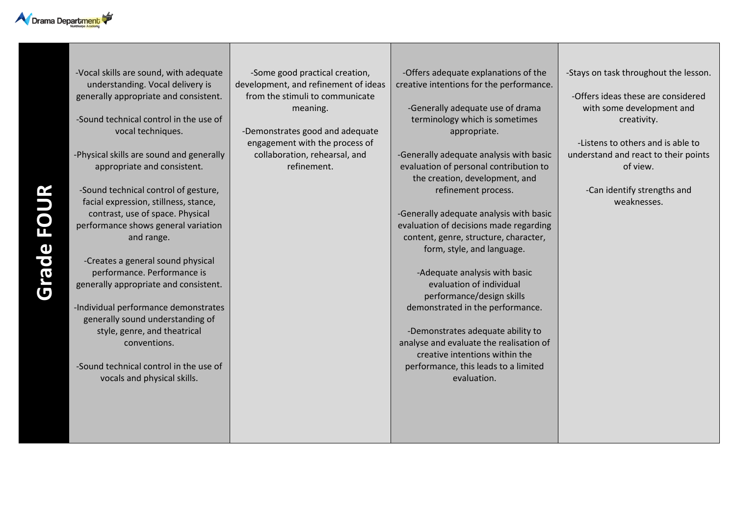

-Vocal skills are sound, with adequate understanding. Vocal delivery is generally appropriate and consistent.

-Sound technical control in the use of vocal techniques.

-Physical skills are sound and generally appropriate and consistent.

-Sound technical control of gesture, facial expression, stillness, stance, contrast, use of space. Physical performance shows general variation and range.

-Creates a general sound physical performance. Performance is generally appropriate and consistent.

-Individual performance demonstrates generally sound understanding of style, genre, and theatrical conventions.

-Sound technical control in the use of vocals and physical skills.

-Some good practical creation, development, and refinement of ideas from the stimuli to communicate meaning.

-Demonstrates good and adequate engagement with the process of collaboration, rehearsal, and refinement.

-Offers adequate explanations of the creative intentions for the performance.

-Generally adequate use of drama terminology which is sometimes appropriate.

-Generally adequate analysis with basic evaluation of personal contribution to the creation, development, and refinement process.

-Generally adequate analysis with basic evaluation of decisions made regarding content, genre, structure, character, form, style, and language.

-Adequate analysis with basic evaluation of individual performance/design skills demonstrated in the performance.

-Demonstrates adequate ability to analyse and evaluate the realisation of creative intentions within the performance, this leads to a limited evaluation.

-Stays on task throughout the lesson.

-Offers ideas these are considered with some development and creativity.

-Listens to others and is able to understand and react to their points of view.

> -Can identify strengths and weaknesses.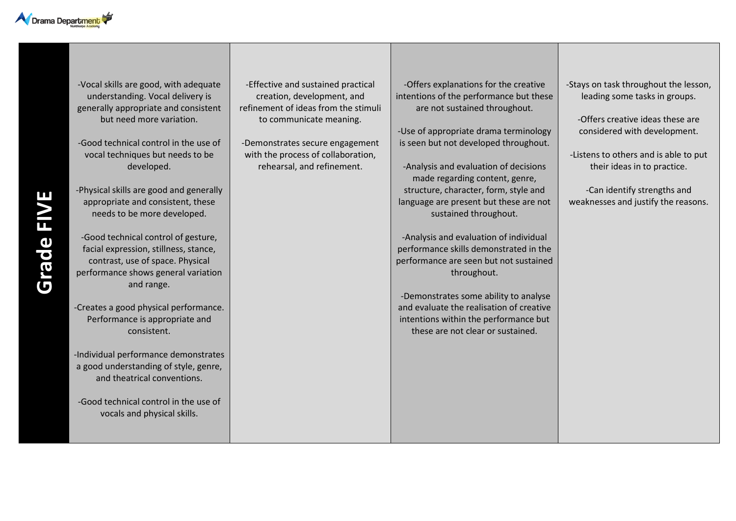

-Vocal skills are good, with adequate understanding. Vocal delivery is generally appropriate and consistent but need more variation.

-Good technical control in the use of vocal techniques but needs to be developed.

-Physical skills are good and generally appropriate and consistent, these needs to be more developed.

-Good technical control of gesture, facial expression, stillness, stance, contrast, use of space. Physical performance shows general variation and range.

-Creates a good physical performance. Performance is appropriate and consistent.

-Individual performance demonstrates a good understanding of style, genre, and theatrical conventions.

-Good technical control in the use of vocals and physical skills.

-Effective and sustained practical creation, development, and refinement of ideas from the stimuli to communicate meaning.

-Demonstrates secure engagement with the process of collaboration, rehearsal, and refinement.

-Offers explanations for the creative intentions of the performance but these are not sustained throughout.

-Use of appropriate drama terminology is seen but not developed throughout.

-Analysis and evaluation of decisions made regarding content, genre, structure, character, form, style and language are present but these are not sustained throughout.

-Analysis and evaluation of individual performance skills demonstrated in the performance are seen but not sustained throughout.

-Demonstrates some ability to analyse and evaluate the realisation of creative intentions within the performance but these are not clear or sustained.

-Stays on task throughout the lesson, leading some tasks in groups.

-Offers creative ideas these are considered with development.

-Listens to others and is able to put their ideas in to practice.

-Can identify strengths and weaknesses and justify the reasons.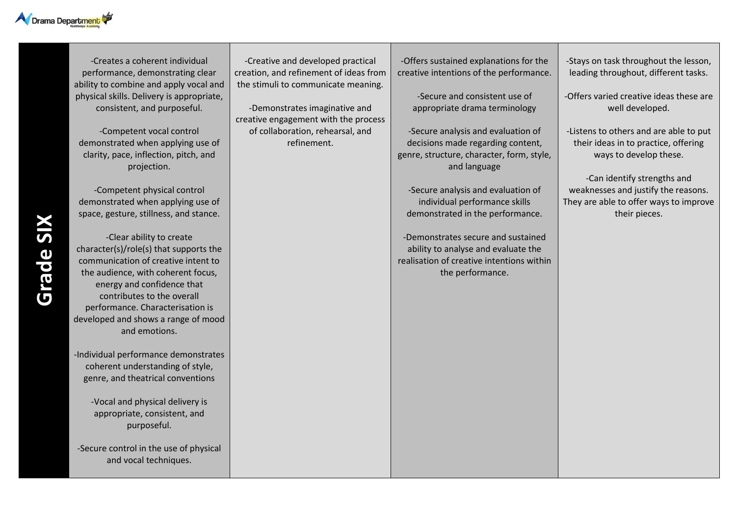

-Creates a coherent individual performance, demonstrating clear ability to combine and apply vocal and physical skills. Delivery is appropriate, consistent, and purposeful.

-Competent vocal control demonstrated when applying use of clarity, pace, inflection, pitch, and projection.

-Competent physical control demonstrated when applying use of space, gesture, stillness, and stance.

-Clear ability to create character(s)/role(s) that supports the communication of creative intent to the audience, with coherent focus, energy and confidence that contributes to the overall performance. Characterisation is developed and shows a range of mood and emotions.

-Individual performance demonstrates coherent understanding of style, genre, and theatrical conventions

> -Vocal and physical delivery is appropriate, consistent, and purposeful.

-Secure control in the use of physical and vocal techniques.

-Creative and developed practical creation, and refinement of ideas from the stimuli to communicate meaning.

-Demonstrates imaginative and creative engagement with the process of collaboration, rehearsal, and refinement.

-Offers sustained explanations for the creative intentions of the performance.

> -Secure and consistent use of appropriate drama terminology

-Secure analysis and evaluation of decisions made regarding content, genre, structure, character, form, style, and language

-Secure analysis and evaluation of individual performance skills demonstrated in the performance.

-Demonstrates secure and sustained ability to analyse and evaluate the realisation of creative intentions within the performance.

-Stays on task throughout the lesson, leading throughout, different tasks.

-Offers varied creative ideas these are well developed.

-Listens to others and are able to put their ideas in to practice, offering ways to develop these.

-Can identify strengths and weaknesses and justify the reasons. They are able to offer ways to improve their pieces.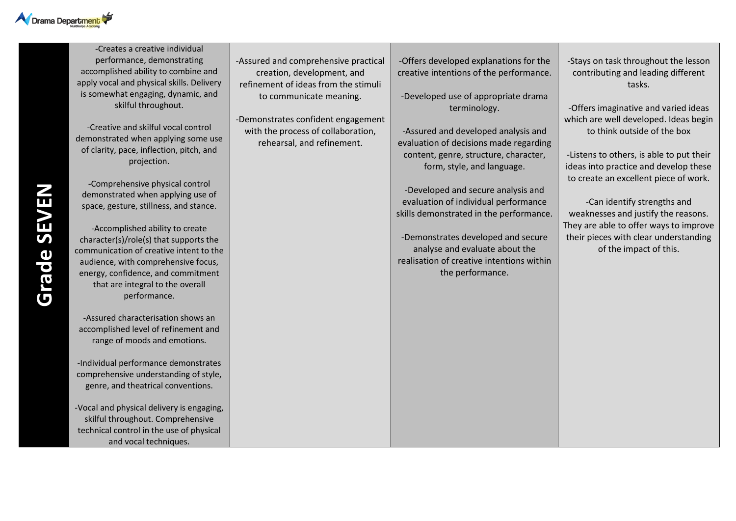

-Creates a creative individual performance, demonstrating accomplished ability to combine and apply vocal and physical skills. Delivery is somewhat engaging, dynamic, and skilful throughout.

-Creative and skilful vocal control demonstrated when applying some use of clarity, pace, inflection, pitch, and projection.

-Comprehensive physical control demonstrated when applying use of space, gesture, stillness, and stance.

-Accomplished ability to create character(s)/role(s) that supports the communication of creative intent to the audience, with comprehensive focus, energy, confidence, and commitment that are integral to the overall performance.

-Assured characterisation shows an accomplished level of refinement and range of moods and emotions.

-Individual performance demonstrates comprehensive understanding of style, genre, and theatrical conventions.

-Vocal and physical delivery is engaging, skilful throughout. Comprehensive technical control in the use of physical and vocal techniques.

-Assured and comprehensive practical creation, development, and refinement of ideas from the stimuli to communicate meaning.

-Demonstrates confident engagement with the process of collaboration, rehearsal, and refinement.

-Offers developed explanations for the creative intentions of the performance.

-Developed use of appropriate drama terminology.

-Assured and developed analysis and evaluation of decisions made regarding content, genre, structure, character, form, style, and language.

-Developed and secure analysis and evaluation of individual performance skills demonstrated in the performance.

-Demonstrates developed and secure analyse and evaluate about the realisation of creative intentions within the performance.

-Stays on task throughout the lesson contributing and leading different tasks.

-Offers imaginative and varied ideas which are well developed. Ideas begin to think outside of the box

-Listens to others, is able to put their ideas into practice and develop these to create an excellent piece of work.

-Can identify strengths and weaknesses and justify the reasons. They are able to offer ways to improve their pieces with clear understanding of the impact of this.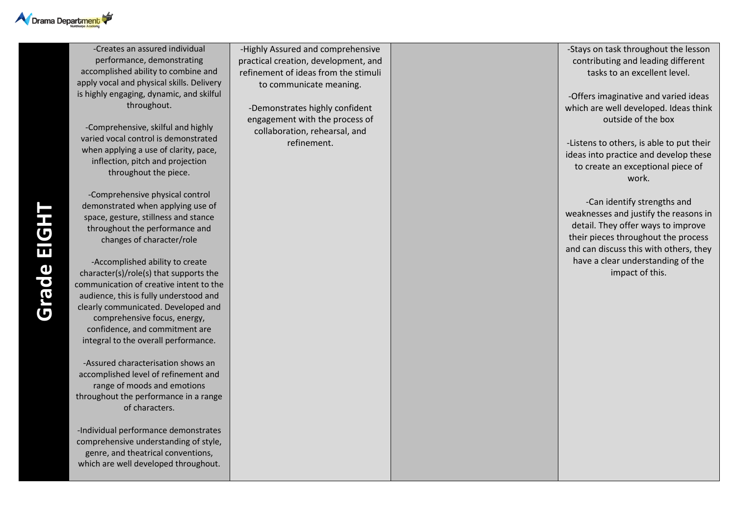

-Creates an assured individual performance, demonstrating accomplished ability to combine and apply vocal and physical skills. Delivery is highly engaging, dynamic, and skilful throughout.

-Comprehensive, skilful and highly varied vocal control is demonstrated when applying a use of clarity, pace, inflection, pitch and projection throughout the piece.

-Comprehensive physical control demonstrated when applying use of space, gesture, stillness and stance throughout the performance and changes of character/role

-Accomplished ability to create character(s)/role(s) that supports the communication of creative intent to the audience, this is fully understood and clearly communicated. Developed and comprehensive focus, energy, confidence, and commitment are integral to the overall performance. -Assured characterisation shows an

accomplished level of refinement and range of moods and emotions throughout the performance in a range of characters.

-Individual performance demonstrates comprehensive understanding of style, genre, and theatrical conventions, which are well developed throughout.

-Highly Assured and comprehensive practical creation, development, and refinement of ideas from the stimuli to communicate meaning.

-Demonstrates highly confident engagement with the process of collaboration, rehearsal, and refinement.

-Stays on task throughout the lesson contributing and leading different tasks to an excellent level.

-Offers imaginative and varied ideas which are well developed. Ideas think outside of the box

-Listens to others, is able to put their ideas into practice and develop these to create an exceptional piece of work.

-Can identify strengths and weaknesses and justify the reasons in detail. They offer ways to improve their pieces throughout the process and can discuss this with others, they have a clear understanding of the impact of this.

**Grade EIGHT**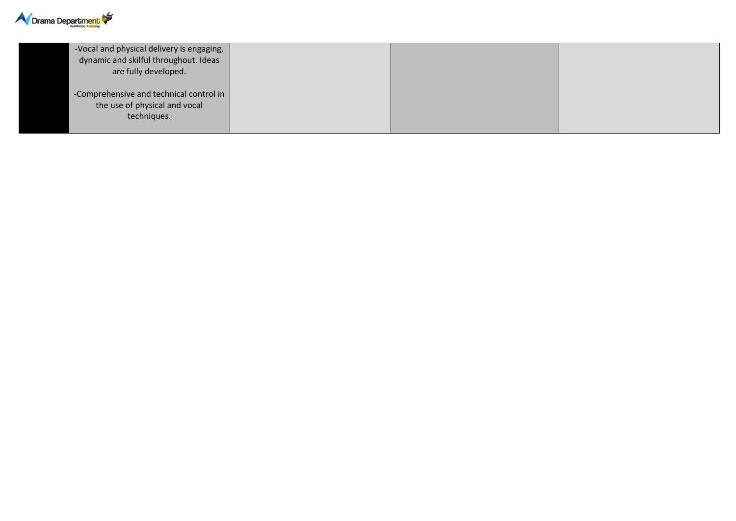

| -Vocal and physical delivery is engaging,<br>dynamic and skilful throughout. Ideas<br>are fully developed. |  |  |
|------------------------------------------------------------------------------------------------------------|--|--|
| -Comprehensive and technical control in<br>the use of physical and vocal<br>techniques.                    |  |  |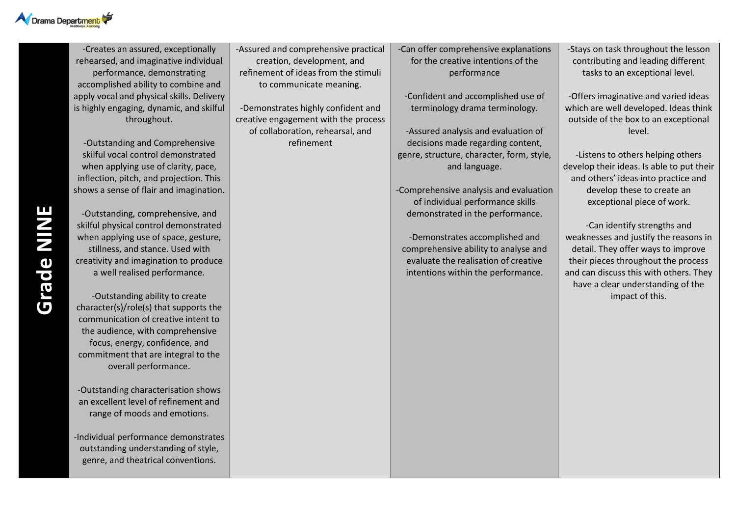

-Creates an assured, exceptionally rehearsed, and imaginative individual performance, demonstrating accomplished ability to combine and apply vocal and physical skills. Delivery is highly engaging, dynamic, and skilful throughout.

-Outstanding and Comprehensive skilful vocal control demonstrated when applying use of clarity, pace, inflection, pitch, and projection. This shows a sense of flair and imagination.

-Outstanding, comprehensive, and skilful physical control demonstrated when applying use of space, gesture, stillness, and stance. Used with creativity and imagination to produce a well realised performance.

-Outstanding ability to create character(s)/role(s) that supports the communication of creative intent to the audience, with comprehensive focus, energy, confidence, and commitment that are integral to the overall performance.

-Outstanding characterisation shows an excellent level of refinement and range of moods and emotions.

-Individual performance demonstrates outstanding understanding of style, genre, and theatrical conventions.

-Assured and comprehensive practical creation, development, and refinement of ideas from the stimuli to communicate meaning.

-Demonstrates highly confident and creative engagement with the process of collaboration, rehearsal, and refinement

## -Can offer comprehensive explanations for the creative intentions of the performance

-Confident and accomplished use of terminology drama terminology.

-Assured analysis and evaluation of decisions made regarding content, genre, structure, character, form, style, and language.

-Comprehensive analysis and evaluation of individual performance skills demonstrated in the performance.

-Demonstrates accomplished and comprehensive ability to analyse and evaluate the realisation of creative intentions within the performance.

-Stays on task throughout the lesson contributing and leading different tasks to an exceptional level.

-Offers imaginative and varied ideas which are well developed. Ideas think outside of the box to an exceptional level.

-Listens to others helping others develop their ideas. Is able to put their and others' ideas into practice and develop these to create an exceptional piece of work.

-Can identify strengths and weaknesses and justify the reasons in detail. They offer ways to improve their pieces throughout the process and can discuss this with others. They have a clear understanding of the impact of this.

**Grade NINE**